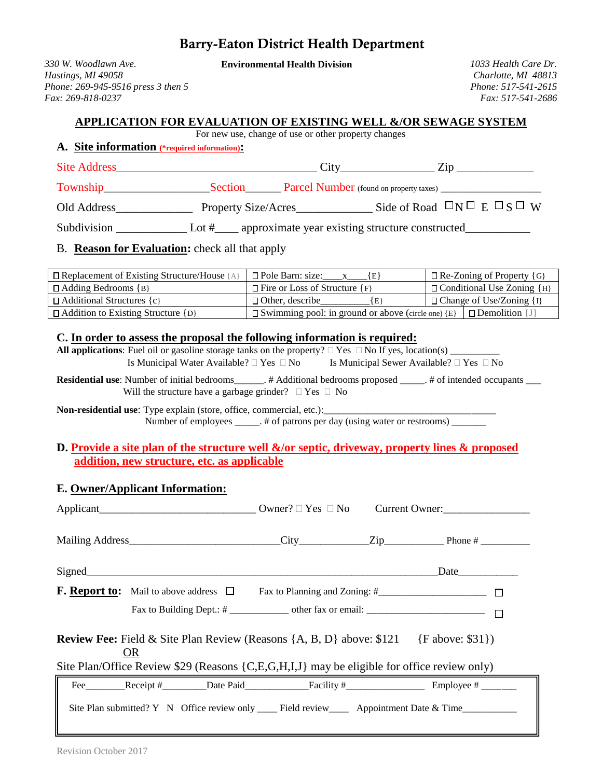# Barry-Eaton District Health Department

*330 W. Woodlawn Ave.* **Environmental Health Division** *1033 Health Care Dr. Hastings, MI 49058 Charlotte, MI 48813 Phone: 269-945-9516 press 3 then 5 Phone: 517-541-2615 Fax: 269-818-0237 Fax: 517-541-2686*

#### **APPLICATION FOR EVALUATION OF EXISTING WELL &/OR SEWAGE SYSTEM**

For new use, change of use or other property changes

#### **A. Site information (\*required information):**

| <b>Site Address</b> | City                | $\lambda$ 10                                    |  |
|---------------------|---------------------|-------------------------------------------------|--|
| Township            | Section             | <b>Parcel Number</b> (found on property taxes)  |  |
| Old Address         | Property Size/Acres | Side of Road $\Box N \Box E \Box S \Box W$      |  |
| Subdivision         | Lot #               | approximate year existing structure constructed |  |

### B. **Reason for Evaluation:** check all that apply

| $\Box$ Replacement of Existing Structure/House { | l □ Pole Barn: size:                                      | $\Box$ Re-Zoning of Property {G} |                                       |
|--------------------------------------------------|-----------------------------------------------------------|----------------------------------|---------------------------------------|
| $\Box$ Adding Bedrooms {B}                       | $\Box$ Fire or Loss of Structure {F}                      |                                  | $\Box$ Conditional Use Zoning $\{H\}$ |
| $\Box$ Additional Structures {c}                 | $\Box$ Other, describe<br>l El                            |                                  | $\Box$ Change of Use/Zoning $\{I\}$   |
| $\Box$ Addition to Existing Structure {D}        | $\Box$ Swimming pool: in ground or above (circle one) {E} |                                  | $\Box$ Demolition $\Box$              |

#### **C. In order to assess the proposal the following information is required:**

**All applications**: Fuel oil or gasoline storage tanks on the property?  $\Box$  Yes  $\Box$  No If yes, location(s)  $\Box$ Is Municipal Water Available?  $\Box$  Yes  $\Box$  No Is Municipal Sewer Available?  $\Box$  Yes  $\Box$  No

**Residential use**: Number of initial bedrooms\_\_\_\_\_\_. # Additional bedrooms proposed \_\_\_\_\_. # of intended occupants \_\_\_ Will the structure have a garbage grinder?  $\Box$  Yes  $\Box$  No

**Non-residential use:** Type explain (store, office, commercial, etc.): Number of employees \_\_\_\_\_. # of patrons per day (using water or restrooms) \_\_\_\_\_\_

### **D. Provide a site plan of the structure well &/or septic, driveway, property lines & proposed addition, new structure, etc. as applicable**

### **E. Owner/Applicant Information:**

| <b>Review Fee:</b> Field & Site Plan Review (Reasons $\{A, B, D\}$ above: \$121 $\{F \text{ above: } $31\}$ )<br><b>OR</b> |                                                    |  |  |  |
|----------------------------------------------------------------------------------------------------------------------------|----------------------------------------------------|--|--|--|
| Site Plan/Office Review \$29 (Reasons {C,E,G,H,I,J} may be eligible for office review only)                                |                                                    |  |  |  |
|                                                                                                                            | Fee Receipt # Date Paid Facility # Employee # ____ |  |  |  |
|                                                                                                                            |                                                    |  |  |  |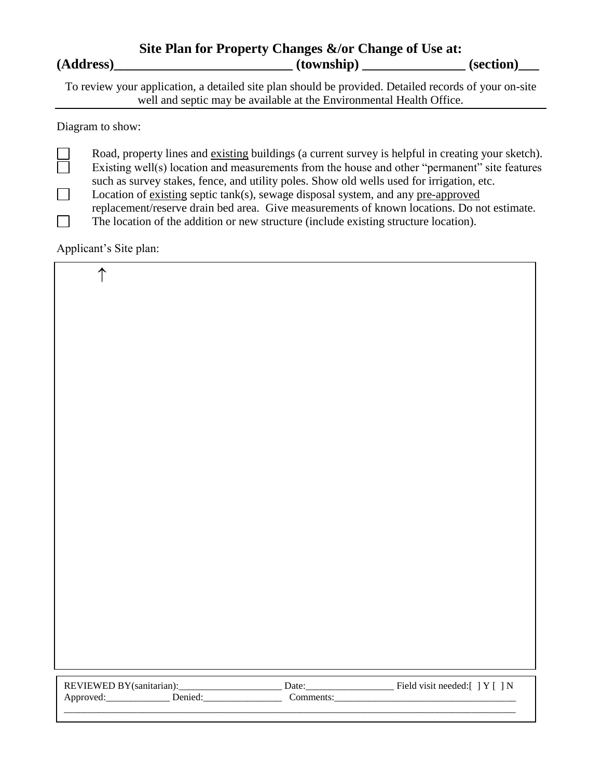|           | Site Plan for Property Changes &/or Change of Use at: |           |
|-----------|-------------------------------------------------------|-----------|
| (Address) | (township)                                            | (section) |

To review your application, a detailed site plan should be provided. Detailed records of your on-site well and septic may be available at the Environmental Health Office.

Diagram to show:

Road, property lines and existing buildings (a current survey is helpful in creating your sketch). Existing well(s) location and measurements from the house and other "permanent" site features such as survey stakes, fence, and utility poles. Show old wells used for irrigation, etc.  $\Box$ Location of existing septic tank(s), sewage disposal system, and any pre-approved

replacement/reserve drain bed area. Give measurements of known locations. Do not estimate.

The location of the addition or new structure (include existing structure location).  $\Box$ 

Applicant's Site plan:

| $\uparrow$               |                    |                                |
|--------------------------|--------------------|--------------------------------|
|                          |                    |                                |
|                          |                    |                                |
|                          |                    |                                |
|                          |                    |                                |
|                          |                    |                                |
|                          |                    |                                |
|                          |                    |                                |
|                          |                    |                                |
|                          |                    |                                |
|                          |                    |                                |
|                          |                    |                                |
|                          |                    |                                |
|                          |                    |                                |
|                          |                    |                                |
|                          |                    |                                |
|                          |                    |                                |
|                          |                    |                                |
|                          |                    |                                |
|                          |                    |                                |
|                          |                    |                                |
|                          |                    |                                |
|                          |                    |                                |
|                          |                    |                                |
|                          |                    |                                |
| REVIEWED BY(sanitarian): |                    | Field visit needed:[ ] Y [ ] N |
| Denied:<br>Approved:     | Date:<br>Comments: |                                |

 $\_$  ,  $\_$  ,  $\_$  ,  $\_$  ,  $\_$  ,  $\_$  ,  $\_$  ,  $\_$  ,  $\_$  ,  $\_$  ,  $\_$  ,  $\_$  ,  $\_$  ,  $\_$  ,  $\_$  ,  $\_$  ,  $\_$  ,  $\_$  ,  $\_$  ,  $\_$  ,  $\_$  ,  $\_$  ,  $\_$  ,  $\_$  ,  $\_$  ,  $\_$  ,  $\_$  ,  $\_$  ,  $\_$  ,  $\_$  ,  $\_$  ,  $\_$  ,  $\_$  ,  $\_$  ,  $\_$  ,  $\_$  ,  $\_$  ,